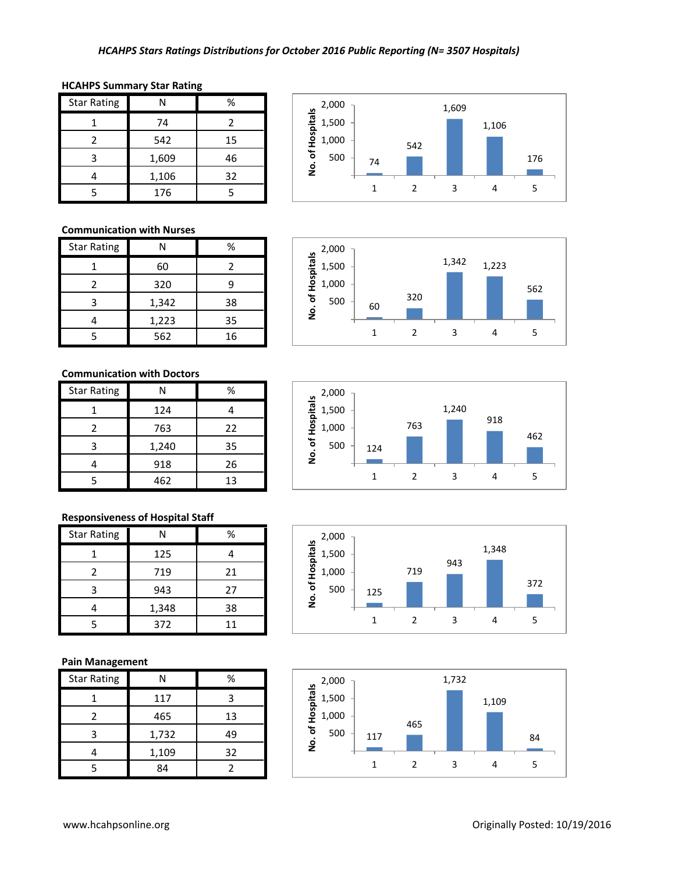| <b>Star Rating</b> |       | %  |
|--------------------|-------|----|
|                    | 74    | 2  |
| 2                  | 542   | 15 |
|                    | 1,609 | 46 |
|                    | 1,106 | 32 |
|                    | 176   |    |

## **HCAHPS Summary Star Rating**

### **Communication with Nurses**

| <b>Star Rating</b> | N     | %  |
|--------------------|-------|----|
|                    | 60    |    |
|                    | 320   |    |
| 3                  | 1,342 | 38 |
|                    | 1,223 | 35 |
|                    | 562   | 16 |

#### **Communication with Doctors**

| <b>Star Rating</b> |       | %  |
|--------------------|-------|----|
|                    | 124   |    |
| 2                  | 763   | 22 |
| 3                  | 1,240 | 35 |
|                    | 918   | 26 |
|                    | 462   | 13 |

### **Responsiveness of Hospital Staff**

| <b>Star Rating</b> |       | %  |
|--------------------|-------|----|
|                    | 125   |    |
|                    | 719   | 21 |
| 3                  | 943   | 27 |
|                    | 1,348 | 38 |
|                    | 372   | 11 |

### **Pain Management**

| <b>Star Rating</b> | NI    | %  |
|--------------------|-------|----|
|                    | 117   | ς  |
|                    | 465   | 13 |
| з                  | 1,732 | 49 |
|                    | 1,109 | 32 |
|                    | 84    |    |









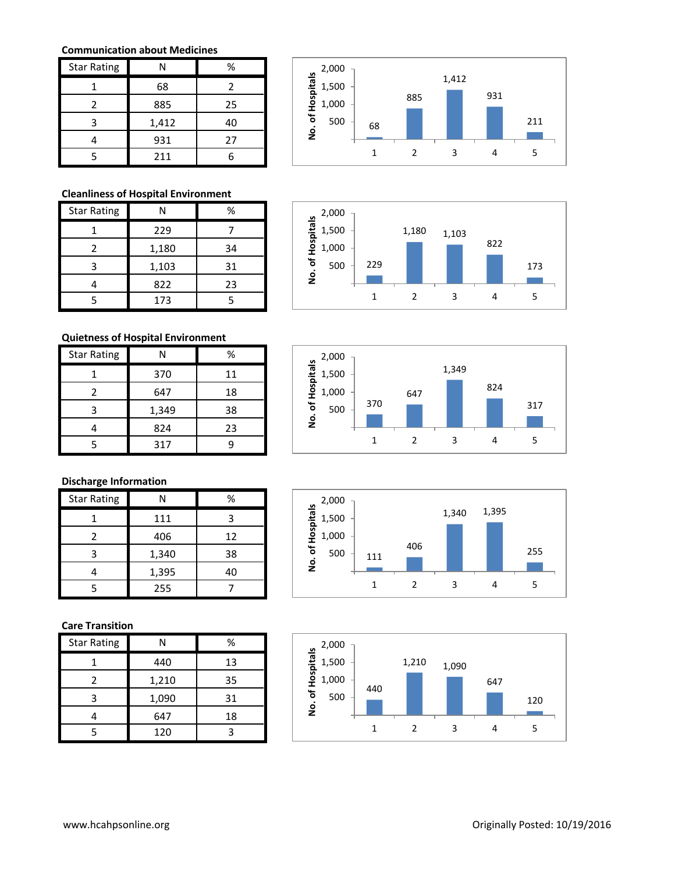### **Communication about Medicines**

| <b>Star Rating</b> |       | %  |
|--------------------|-------|----|
|                    | 68    | 2  |
| 2                  | 885   | 25 |
|                    | 1,412 | 40 |
|                    | 931   | 27 |
|                    | 211   |    |

## **Cleanliness of Hospital Environment**

| <b>Star Rating</b> | N     | %  |
|--------------------|-------|----|
|                    | 229   |    |
|                    | 1,180 | 34 |
|                    | 1,103 | 31 |
|                    | 822   | 23 |
|                    | 173   |    |

#### **Quietness of Hospital Environment**

| <b>Star Rating</b> | N     | %  |
|--------------------|-------|----|
|                    | 370   | 11 |
| 2                  | 647   | 18 |
|                    | 1,349 | 38 |
|                    | 824   | 23 |
|                    | 317   |    |

# **Discharge Information**

| <b>Star Rating</b> |       | ℅  |
|--------------------|-------|----|
|                    | 111   |    |
| 2                  | 406   | 12 |
| 3                  | 1,340 | 38 |
|                    | 1,395 | 40 |
|                    | 255   |    |

## **Care Transition**

| <b>Star Rating</b> | N     | %  |
|--------------------|-------|----|
|                    | 440   | 13 |
| 2                  | 1,210 | 35 |
| ੨                  | 1,090 | 31 |
|                    | 647   | 18 |
|                    | 120   |    |